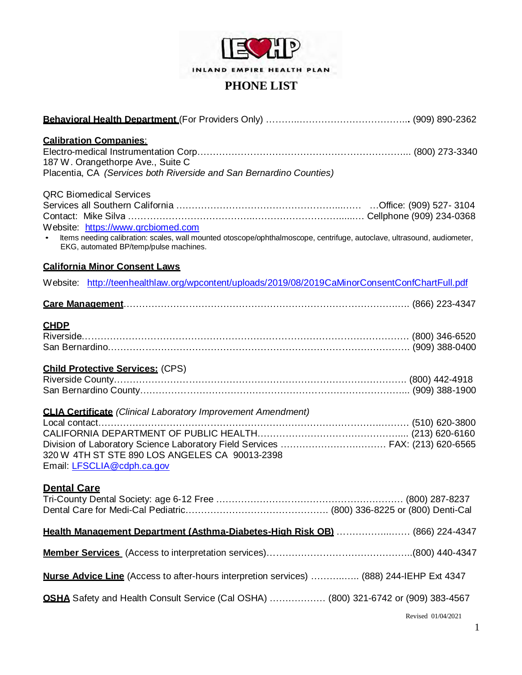

| <b>Calibration Companies:</b><br>187 W. Orangethorpe Ave., Suite C<br>Placentia, CA (Services both Riverside and San Bernardino Counties)                                                                                                 |                    |
|-------------------------------------------------------------------------------------------------------------------------------------------------------------------------------------------------------------------------------------------|--------------------|
| <b>QRC Biomedical Services</b><br>Website: https://www.grcbiomed.com<br>Items needing calibration: scales, wall mounted otoscope/ophthalmoscope, centrifuge, autoclave, ultrasound, audiometer,<br>EKG, automated BP/temp/pulse machines. |                    |
| <b>California Minor Consent Laws</b>                                                                                                                                                                                                      |                    |
| Website: http://teenhealthlaw.org/wpcontent/uploads/2019/08/2019CaMinorConsentConfChartFull.pdf                                                                                                                                           |                    |
|                                                                                                                                                                                                                                           |                    |
| <b>CHDP</b><br><b>Child Protective Services: (CPS)</b><br><b>CLIA Certificate</b> (Clinical Laboratory Improvement Amendment)                                                                                                             |                    |
| Division of Laboratory Science Laboratory Field Services  FAX: (213) 620-6565<br>320 W 4TH ST STE 890 LOS ANGELES CA 90013-2398<br>Email: LFSCLIA@cdph.ca.gov                                                                             |                    |
| <b>Dental Care</b>                                                                                                                                                                                                                        |                    |
| Health Management Department (Asthma-Diabetes-High Risk OB)  (866) 224-4347                                                                                                                                                               |                    |
|                                                                                                                                                                                                                                           |                    |
| Nurse Advice Line (Access to after-hours interpretion services)  (888) 244-IEHP Ext 4347                                                                                                                                                  |                    |
| <b>OSHA</b> Safety and Health Consult Service (Cal OSHA)  (800) 321-6742 or (909) 383-4567                                                                                                                                                |                    |
|                                                                                                                                                                                                                                           | Revised 01/04/2021 |